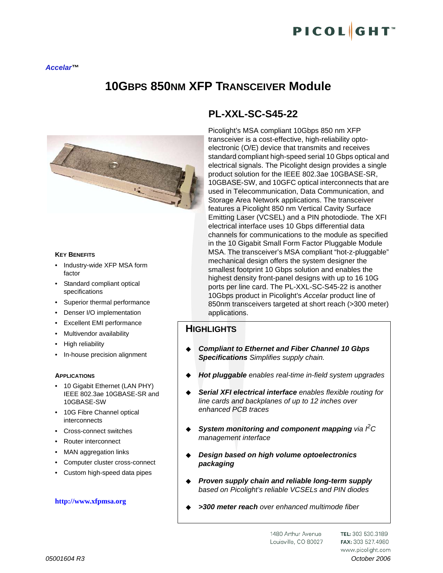# **10GBPS 850NM XFP TRANSCEIVER Module**



#### **KEY BENEFITS**

- Industry-wide XFP MSA form factor
- Standard compliant optical specifications
- Superior thermal performance
- Denser I/O implementation
- Excellent EMI performance
- Multivendor availability
- High reliability
- In-house precision alignment

#### **APPLICATIONS**

- 10 Gigabit Ethernet (LAN PHY) IEEE 802.3ae 10GBASE-SR and 10GBASE-SW
- 10G Fibre Channel optical interconnects
- Cross-connect switches
- Router interconnect
- MAN aggregation links
- Computer cluster cross-connect
- Custom high-speed data pipes

#### **http://www.xfpmsa.org**

# **PL-XXL-SC-S45-22**

Picolight's MSA compliant 10Gbps 850 nm XFP transceiver is a cost-effective, high-reliability optoelectronic (O/E) device that transmits and receives standard compliant high-speed serial 10 Gbps optical and electrical signals. The Picolight design provides a single product solution for the IEEE 802.3ae 10GBASE-SR, 10GBASE-SW, and 10GFC optical interconnects that are used in Telecommunication, Data Communication, and Storage Area Network applications. The transceiver features a Picolight 850 nm Vertical Cavity Surface Emitting Laser (VCSEL) and a PIN photodiode. The XFI electrical interface uses 10 Gbps differential data channels for communications to the module as specified in the 10 Gigabit Small Form Factor Pluggable Module MSA. The transceiver's MSA compliant "hot-z-pluggable" mechanical design offers the system designer the smallest footprint 10 Gbps solution and enables the highest density front-panel designs with up to 16 10G ports per line card. The PL-XXL-SC-S45-22 is another 10Gbps product in Picolight's *Accelar* product line of 850nm transceivers targeted at short reach (>300 meter) applications.

### **HIGHLIGHTS**

- *Compliant to Ethernet and Fiber Channel 10 Gbps Specifications Simplifies supply chain.*
- *Hot pluggable enables real-time in-field system upgrades*
- *Serial XFI electrical interface enables flexible routing for line cards and backplanes of up to 12 inches over enhanced PCB traces*
- ◆ System monitoring and component mapping via  $P$ C *management interface*
- *Design based on high volume optoelectronics packaging*
- *Proven supply chain and reliable long-term supply based on Picolight's reliable VCSELs and PIN diodes*
- *>300 meter reach over enhanced multimode fiber*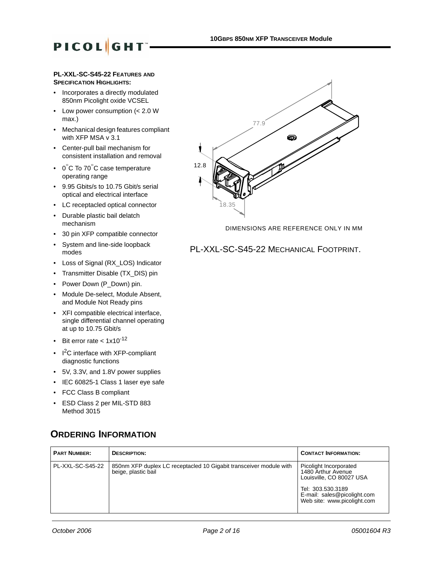#### **PL-XXL-SC-S45-22 FEATURES AND SPECIFICATION HIGHLIGHTS:**

- Incorporates a directly modulated 850nm Picolight oxide VCSEL
- Low power consumption (< 2.0 W max.)
- Mechanical design features compliant with XFP MSA v 3.1
- Center-pull bail mechanism for consistent installation and removal
- 0°C To 70°C case temperature operating range
- 9.95 Gbits/s to 10.75 Gbit/s serial optical and electrical interface
- LC receptacled optical connector
- Durable plastic bail delatch mechanism
- 30 pin XFP compatible connector
- System and line-side loopback modes
- Loss of Signal (RX\_LOS) Indicator
- Transmitter Disable (TX\_DIS) pin
- Power Down (P\_Down) pin.
- Module De-select, Module Absent, and Module Not Ready pins
- XFI compatible electrical interface, single differential channel operating at up to 10.75 Gbit/s
- Bit error rate  $< 1 \times 10^{-12}$
- $\cdot$  I<sup>2</sup>C interface with XFP-compliant diagnostic functions
- 5V, 3.3V, and 1.8V power supplies
- IEC 60825-1 Class 1 laser eye safe
- FCC Class B compliant
- ESD Class 2 per MIL-STD 883 Method 3015

# **ORDERING INFORMATION**





DIMENSIONS ARE REFERENCE ONLY IN MM

### PL-XXL-SC-S45-22 MECHANICAL FOOTPRINT.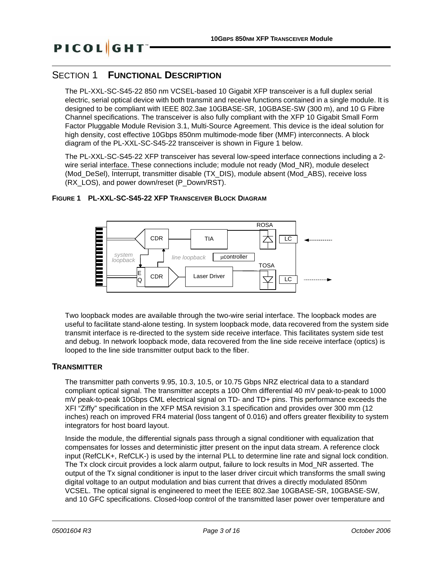## SECTION 1 **FUNCTIONAL DESCRIPTION**

The PL-XXL-SC-S45-22 850 nm VCSEL-based 10 Gigabit XFP transceiver is a full duplex serial electric, serial optical device with both transmit and receive functions contained in a single module. It is designed to be compliant with IEEE 802.3ae 10GBASE-SR, 10GBASE-SW (300 m), and 10 G Fibre Channel specifications. The transceiver is also fully compliant with the XFP 10 Gigabit Small Form Factor Pluggable Module Revision 3.1, Multi-Source Agreement. This device is the ideal solution for high density, cost effective 10Gbps 850nm multimode-mode fiber (MMF) interconnects. A block diagram of the PL-XXL-SC-S45-22 transceiver is shown in Figure 1 below.

The PL-XXL-SC-S45-22 XFP transceiver has several low-speed interface connections including a 2 wire serial interface. These connections include; module not ready (Mod\_NR), module deselect (Mod\_DeSel), Interrupt, transmitter disable (TX\_DIS), module absent (Mod\_ABS), receive loss (RX\_LOS), and power down/reset (P\_Down/RST).

#### **FIGURE 1 PL-XXL-SC-S45-22 XFP TRANSCEIVER BLOCK DIAGRAM**



Two loopback modes are available through the two-wire serial interface. The loopback modes are useful to facilitate stand-alone testing. In system loopback mode, data recovered from the system side transmit interface is re-directed to the system side receive interface. This facilitates system side test and debug. In network loopback mode, data recovered from the line side receive interface (optics) is looped to the line side transmitter output back to the fiber.

### **TRANSMITTER**

The transmitter path converts 9.95, 10.3, 10.5, or 10.75 Gbps NRZ electrical data to a standard compliant optical signal. The transmitter accepts a 100 Ohm differential 40 mV peak-to-peak to 1000 mV peak-to-peak 10Gbps CML electrical signal on TD- and TD+ pins. This performance exceeds the XFI "Ziffy" specification in the XFP MSA revision 3.1 specification and provides over 300 mm (12 inches) reach on improved FR4 material (loss tangent of 0.016) and offers greater flexibility to system integrators for host board layout.

Inside the module, the differential signals pass through a signal conditioner with equalization that compensates for losses and deterministic jitter present on the input data stream. A reference clock input (RefCLK+, RefCLK-) is used by the internal PLL to determine line rate and signal lock condition. The Tx clock circuit provides a lock alarm output, failure to lock results in Mod\_NR asserted. The output of the Tx signal conditioner is input to the laser driver circuit which transforms the small swing digital voltage to an output modulation and bias current that drives a directly modulated 850nm VCSEL. The optical signal is engineered to meet the IEEE 802.3ae 10GBASE-SR, 10GBASE-SW, and 10 GFC specifications. Closed-loop control of the transmitted laser power over temperature and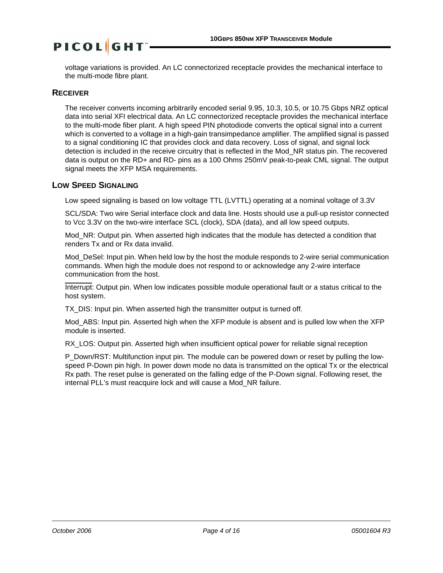voltage variations is provided. An LC connectorized receptacle provides the mechanical interface to the multi-mode fibre plant.

#### **RECEIVER**

The receiver converts incoming arbitrarily encoded serial 9.95, 10.3, 10.5, or 10.75 Gbps NRZ optical data into serial XFI electrical data. An LC connectorized receptacle provides the mechanical interface to the multi-mode fiber plant. A high speed PIN photodiode converts the optical signal into a current which is converted to a voltage in a high-gain transimpedance amplifier. The amplified signal is passed to a signal conditioning IC that provides clock and data recovery. Loss of signal, and signal lock detection is included in the receive circuitry that is reflected in the Mod\_NR status pin. The recovered data is output on the RD+ and RD- pins as a 100 Ohms 250mV peak-to-peak CML signal. The output signal meets the XFP MSA requirements.

#### **LOW SPEED SIGNALING**

Low speed signaling is based on low voltage TTL (LVTTL) operating at a nominal voltage of 3.3V

SCL/SDA: Two wire Serial interface clock and data line. Hosts should use a pull-up resistor connected to Vcc 3.3V on the two-wire interface SCL (clock), SDA (data), and all low speed outputs.

Mod\_NR: Output pin. When asserted high indicates that the module has detected a condition that renders Tx and or Rx data invalid.

Mod DeSel: Input pin. When held low by the host the module responds to 2-wire serial communication commands. When high the module does not respond to or acknowledge any 2-wire interface communication from the host.

Interrupt: Output pin. When low indicates possible module operational fault or a status critical to the host system.

TX DIS: Input pin. When asserted high the transmitter output is turned off.

Mod\_ABS: Input pin. Asserted high when the XFP module is absent and is pulled low when the XFP module is inserted.

RX LOS: Output pin. Asserted high when insufficient optical power for reliable signal reception

P\_Down/RST: Multifunction input pin. The module can be powered down or reset by pulling the lowspeed P-Down pin high. In power down mode no data is transmitted on the optical Tx or the electrical Rx path. The reset pulse is generated on the falling edge of the P-Down signal. Following reset, the internal PLL's must reacquire lock and will cause a Mod\_NR failure.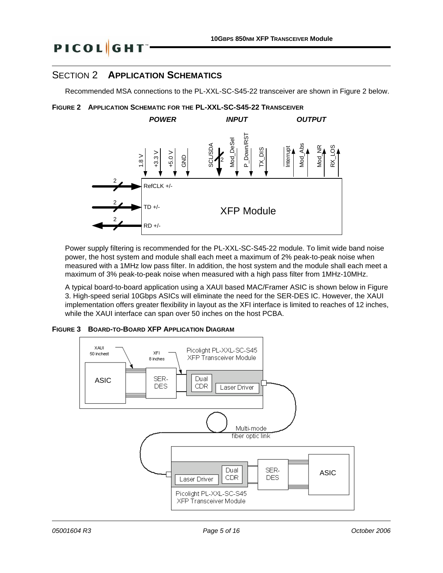# SECTION 2 **APPLICATION SCHEMATICS**

**PICOL**GHT

Recommended MSA connections to the PL-XXL-SC-S45-22 transceiver are shown in Figure 2 below.





Power supply filtering is recommended for the PL-XXL-SC-S45-22 module. To limit wide band noise power, the host system and module shall each meet a maximum of 2% peak-to-peak noise when measured with a 1MHz low pass filter. In addition, the host system and the module shall each meet a maximum of 3% peak-to-peak noise when measured with a high pass filter from 1MHz-10MHz.

A typical board-to-board application using a XAUI based MAC/Framer ASIC is shown below in Figure 3. High-speed serial 10Gbps ASICs will eliminate the need for the SER-DES IC. However, the XAUI implementation offers greater flexibility in layout as the XFI interface is limited to reaches of 12 inches, while the XAUI interface can span over 50 inches on the host PCBA.



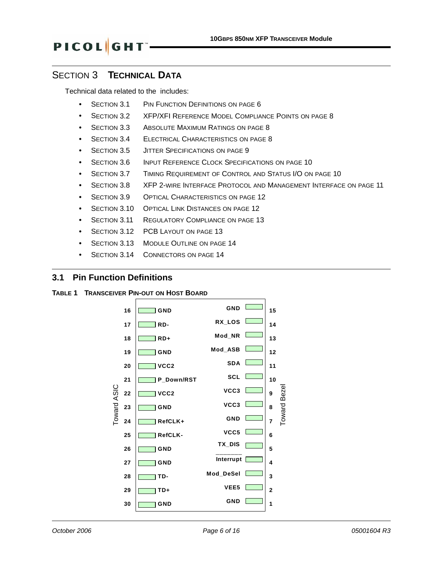# SECTION 3 **TECHNICAL DATA**

**PICOL**GHT

Technical data related to the includes:

- **•** [SECTION 3.1 PIN FUNCTION DEFINITIONS](#page-5-0) ON PAGE 6
- **•** [SECTION 3.2 XFP/XFI REFERENCE MODEL COMPLIANCE POINTS](#page-7-0) ON PAGE 8
- **[SECTION 3.3 ABSOLUTE MAXIMUM RATINGS](#page-7-1) ON PAGE 8**
- **[SECTION 3.4 ELECTRICAL CHARACTERISTICS](#page-7-2) ON PAGE 8**
- **•** [SECTION 3.5 JITTER SPECIFICATIONS](#page-8-0) ON PAGE 9
- **•** [SECTION 3.6 INPUT REFERENCE CLOCK SPECIFICATIONS](#page-9-0) ON PAGE 10
- **•** [SECTION 3.7 TIMING REQUIREMENT](#page-9-1) OF CONTROL AND STATUS I/O ON PAGE 10
- **•** [SECTION 3.8 XFP 2-WIRE INTERFACE PROTOCOL](#page-10-0) AND MANAGEMENT INTERFACE ON PAGE 11
- **[SECTION 3.9 OPTICAL CHARACTERISTICS](#page-11-0) ON PAGE 12**
- **[SECTION 3.10 OPTICAL LINK DISTANCES](#page-11-1) ON PAGE 12**
- **[SECTION 3.11 REGULATORY COMPLIANCE](#page-12-0) ON PAGE 13**
- **•** [SECTION 3.12 PCB LAYOUT](#page-12-1) ON PAGE 13
- **[SECTION 3.13 MODULE OUTLINE](#page-13-1) ON PAGE 14**
- **•** [SECTION 3.14 CONNECTORS](#page-13-0) ON PAGE 14

#### <span id="page-5-0"></span>**3.1 Pin Function Definitions**

#### **TABLE 1 TRANSCEIVER PIN-OUT ON HOST BOARD**

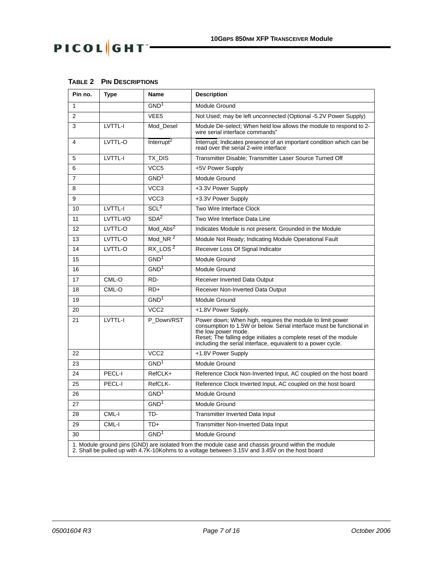# PICOL GHT-

 $\Gamma$ 

| Pin no.        | Type     | Name                   | <b>Description</b>                                                                                            |
|----------------|----------|------------------------|---------------------------------------------------------------------------------------------------------------|
|                |          | GND <sup>1</sup>       | Module Ground                                                                                                 |
| 2              |          | VEE <sub>5</sub>       | Not Used; may be left unconnected (Optional -5.2V Power Supply)                                               |
| 3              | LVTTL-I  | Mod Desel              | Module De-select; When held low allows the module to respond to 2-<br>wire serial interface commands"         |
| 4              | LVTTL-O  | Interrupt <sup>2</sup> | Interrupt; Indicates presence of an important condition which can be<br>read over the serial 2-wire interface |
| 5              | LVTTL-I  | TX DIS                 | Transmitter Disable; Transmitter Laser Source Turned Off                                                      |
| 6              |          | VCC <sub>5</sub>       | +5V Power Supply                                                                                              |
| $\overline{7}$ |          | GND <sup>1</sup>       | Module Ground                                                                                                 |
| 8              |          | VCC <sub>3</sub>       | +3.3V Power Supply                                                                                            |
| 9              |          | VCC <sub>3</sub>       | +3.3V Power Supply                                                                                            |
| 10             | LVTTL-I  | SCL <sup>2</sup>       | Two Wire Interface Clock                                                                                      |
| $\overline{A}$ | 11771100 | $\sim$ $\sim$ $\sim$   | The Miller Letter of the Detail from                                                                          |

┑

**TABLE 2 PIN DESCRIPTIONS** 

 $\overline{\phantom{a}}$ 

| 8  |                  | VCC <sub>3</sub> | +3.3V Power Supply                                                                                                                                                                                                                                                                           |
|----|------------------|------------------|----------------------------------------------------------------------------------------------------------------------------------------------------------------------------------------------------------------------------------------------------------------------------------------------|
| 9  |                  | VCC <sub>3</sub> | +3.3V Power Supply                                                                                                                                                                                                                                                                           |
| 10 | LVTTL-I          | SCL <sup>2</sup> | Two Wire Interface Clock                                                                                                                                                                                                                                                                     |
| 11 | <b>IVTTI-I/O</b> | SDA <sup>2</sup> | Two Wire Interface Data Line                                                                                                                                                                                                                                                                 |
| 12 | LVTTL-O          | $Mod\_Abs^2$     | Indicates Module is not present. Grounded in the Module                                                                                                                                                                                                                                      |
| 13 | LVTTL-O          | $Mod_NR^2$       | Module Not Ready; Indicating Module Operational Fault                                                                                                                                                                                                                                        |
| 14 | LVTTL-O          | RX LOS $2$       | Receiver Loss Of Signal Indicator                                                                                                                                                                                                                                                            |
| 15 |                  | GND <sup>1</sup> | Module Ground                                                                                                                                                                                                                                                                                |
| 16 |                  | GND <sup>1</sup> | Module Ground                                                                                                                                                                                                                                                                                |
| 17 | CML-O            | RD-              | <b>Receiver Inverted Data Output</b>                                                                                                                                                                                                                                                         |
| 18 | CML-O            | $RD+$            | Receiver Non-Inverted Data Output                                                                                                                                                                                                                                                            |
| 19 |                  | GND <sup>1</sup> | Module Ground                                                                                                                                                                                                                                                                                |
| 20 |                  | VCC <sub>2</sub> | +1.8V Power Supply.                                                                                                                                                                                                                                                                          |
| 21 | LVTTL-I          | P Down/RST       | Power down; When high, requires the module to limit power<br>consumption to 1.5W or below. Serial interface must be functional in<br>the low power mode.<br>Reset; The falling edge initiates a complete reset of the module<br>including the serial interface, equivalent to a power cycle. |
| 22 |                  | VCC <sub>2</sub> | +1.8V Power Supply                                                                                                                                                                                                                                                                           |
| 23 |                  | GND <sup>1</sup> | Module Ground                                                                                                                                                                                                                                                                                |
| 24 | PECL-I           | RefCLK+          | Reference Clock Non-Inverted Input, AC coupled on the host board                                                                                                                                                                                                                             |
| 25 | PECL-I           | RefCLK-          | Reference Clock Inverted Input, AC coupled on the host board                                                                                                                                                                                                                                 |
| 26 |                  | GND <sup>1</sup> | Module Ground                                                                                                                                                                                                                                                                                |
| 27 |                  | GND <sup>1</sup> | Module Ground                                                                                                                                                                                                                                                                                |
| 28 | CML-I            | TD-              | <b>Transmitter Inverted Data Input</b>                                                                                                                                                                                                                                                       |
| 29 | CML-I            | $TD+$            | Transmitter Non-Inverted Data Input                                                                                                                                                                                                                                                          |
| 30 |                  | GND <sup>1</sup> | Module Ground                                                                                                                                                                                                                                                                                |
|    |                  |                  | 1. Module ground pins (GND) are isolated from the module case and chassis ground within the module<br>2. Shall be pulled up with 4.7K-10Kohms to a voltage between 3.15V and 3.45V on the host board                                                                                         |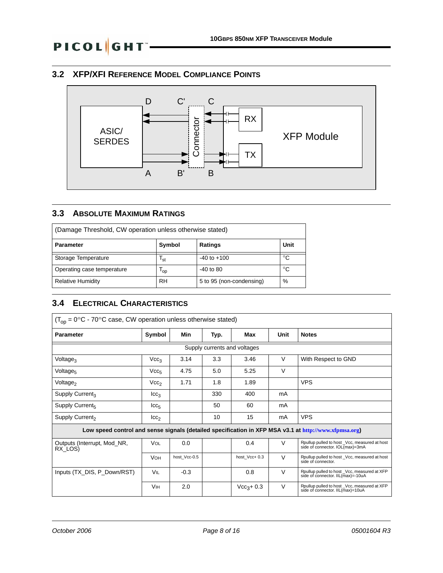## <span id="page-7-0"></span>**3.2 XFP/XFI REFERENCE MODEL COMPLIANCE POINTS**



### <span id="page-7-1"></span>**3.3 ABSOLUTE MAXIMUM RATINGS**

| (Damage Threshold, CW operation unless otherwise stated) |           |                          |    |  |  |
|----------------------------------------------------------|-----------|--------------------------|----|--|--|
| Unit<br>Symbol<br>Ratings<br><b>Parameter</b>            |           |                          |    |  |  |
| Storage Temperature                                      | 'st       | $-40$ to $+100$          | °C |  |  |
| Operating case temperature                               | log       | $-40$ to 80              | °C |  |  |
| <b>Relative Humidity</b>                                 | <b>RH</b> | 5 to 95 (non-condensing) | %  |  |  |

### <span id="page-7-2"></span>**3.4 ELECTRICAL CHARACTERISTICS**

| $(T_{\text{op}} = 0^{\circ}C - 70^{\circ}C$ case, CW operation unless otherwise stated) |                       |              |      |               |        |                                                                                                       |  |  |  |
|-----------------------------------------------------------------------------------------|-----------------------|--------------|------|---------------|--------|-------------------------------------------------------------------------------------------------------|--|--|--|
| <b>Parameter</b>                                                                        | Symbol                | Min          | Typ. | Max           | Unit   | <b>Notes</b>                                                                                          |  |  |  |
| Supply currents and voltages                                                            |                       |              |      |               |        |                                                                                                       |  |  |  |
| Voltage <sub>3</sub>                                                                    | Vcc <sub>3</sub>      | 3.14         | 3.3  | 3.46          | V      | With Respect to GND                                                                                   |  |  |  |
| Voltage <sub>5</sub>                                                                    | Vcc <sub>5</sub>      | 4.75         | 5.0  | 5.25          | $\vee$ |                                                                                                       |  |  |  |
| Voltage <sub>2</sub>                                                                    | Vcc <sub>2</sub>      | 1.71         | 1.8  | 1.89          |        | <b>VPS</b>                                                                                            |  |  |  |
| Supply Current <sub>3</sub>                                                             | ICC <sub>3</sub>      |              | 330  | 400           | mA     |                                                                                                       |  |  |  |
| Supply Current <sub>5</sub>                                                             | $_{\text{LCG}_5}$     |              | 50   | 60            | mA     |                                                                                                       |  |  |  |
| Supply Current <sub>2</sub>                                                             | $_{\text{ICC}_2}$     |              | 10   | 15            | mA     | <b>VPS</b>                                                                                            |  |  |  |
|                                                                                         |                       |              |      |               |        | Low speed control and sense signals (detailed specification in XFP MSA v3.1 at http://www.xfpmsa.org) |  |  |  |
| Outputs (Interrupt, Mod_NR,<br>RX LOS)                                                  | VOL                   | 0.0          |      | 0.4           | $\vee$ | Rpullup pulled to host Vcc, measured at host<br>side of connector. IOL(max)=3mA                       |  |  |  |
|                                                                                         | <b>V</b> он           | host Vcc-0.5 |      | host Vcc+ 0.3 | $\vee$ | Rpullup pulled to host _Vcc, measured at host<br>side of connector.                                   |  |  |  |
| Inputs (TX_DIS, P_Down/RST)                                                             | VIL                   | $-0.3$       |      | 0.8           | $\vee$ | Rpullup pulled to host Vcc, measured at XFP<br>side of connector. IIL(max)=-10uA                      |  |  |  |
|                                                                                         | <b>V<sub>IH</sub></b> | 2.0          |      | $Vcc3+0.3$    | $\vee$ | Rpullup pulled to host _Vcc, measured at XFP<br>side of connector. IIL(max)=10uA                      |  |  |  |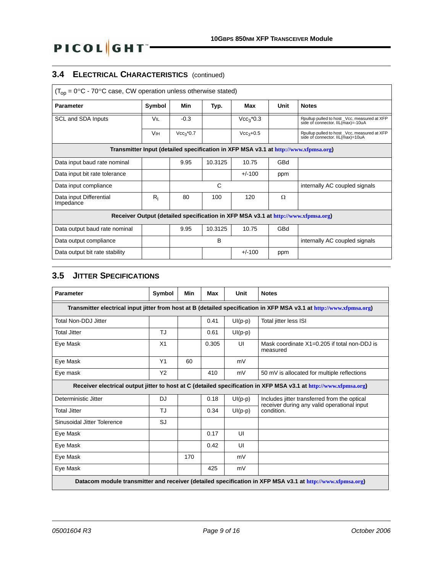# **3.4 ELECTRICAL CHARACTERISTICS** (continued)

PICOL GHT-

| $(T_{op} = 0^{\circ}C - 70^{\circ}C$ case, CW operation unless otherwise stated)    |                       |             |         |             |            |                                                                                  |  |  |
|-------------------------------------------------------------------------------------|-----------------------|-------------|---------|-------------|------------|----------------------------------------------------------------------------------|--|--|
| <b>Parameter</b>                                                                    | Symbol                | Min         | Typ.    | Max         | Unit       | <b>Notes</b>                                                                     |  |  |
| SCL and SDA Inputs                                                                  | VIL                   | $-0.3$      |         | $Vec3$ *0.3 |            | Rpullup pulled to host Vcc, measured at XFP<br>side of connector. IIL(max)=-10uA |  |  |
|                                                                                     | <b>V<sub>IH</sub></b> | $Vcc_3*0.7$ |         | $Vcc3+0.5$  |            | Rpullup pulled to host _Vcc, measured at XFP<br>side of connector. IIL(max)=10uA |  |  |
| Transmitter Input (detailed specification in XFP MSA v3.1 at http://www.xfpmsa.org) |                       |             |         |             |            |                                                                                  |  |  |
| Data input baud rate nominal                                                        |                       | 9.95        | 10.3125 | 10.75       | GBd        |                                                                                  |  |  |
| Data input bit rate tolerance                                                       |                       |             |         | $+/-100$    | ppm        |                                                                                  |  |  |
| Data input compliance                                                               |                       |             | C       |             |            | internally AC coupled signals                                                    |  |  |
| Data input Differential<br>Impedance                                                | $R_{I}$               | 80          | 100     | 120         | Ω          |                                                                                  |  |  |
| Receiver Output (detailed specification in XFP MSA v3.1 at http://www.xfpmsa.org)   |                       |             |         |             |            |                                                                                  |  |  |
| Data output baud rate nominal                                                       |                       | 9.95        | 10.3125 | 10.75       | <b>GBd</b> |                                                                                  |  |  |
| Data output compliance                                                              |                       |             | B       |             |            | internally AC coupled signals                                                    |  |  |
| Data output bit rate stability                                                      |                       |             |         | $+/-100$    | ppm        |                                                                                  |  |  |

## <span id="page-8-0"></span>**3.5 JITTER SPECIFICATIONS**

| <b>Parameter</b>                                                                                                     | Symbol         | Min | Max   | Unit      | <b>Notes</b>                                                                                                     |  |  |  |  |
|----------------------------------------------------------------------------------------------------------------------|----------------|-----|-------|-----------|------------------------------------------------------------------------------------------------------------------|--|--|--|--|
| Transmitter electrical input jitter from host at B (detailed specification in XFP MSA v3.1 at http://www.xfpmsa.org) |                |     |       |           |                                                                                                                  |  |  |  |  |
| <b>Total Non-DDJ Jitter</b>                                                                                          |                |     | 0.41  | $UI(p-p)$ | Total jitter less ISI                                                                                            |  |  |  |  |
| <b>Total Jitter</b>                                                                                                  | TJ             |     | 0.61  | $UI(p-p)$ |                                                                                                                  |  |  |  |  |
| Eye Mask                                                                                                             | X <sub>1</sub> |     | 0.305 | UI        | Mask coordinate $X1=0.205$ if total non-DDJ is<br>measured                                                       |  |  |  |  |
| Eye Mask                                                                                                             | Y1             | 60  |       | mV        |                                                                                                                  |  |  |  |  |
| Eye mask                                                                                                             | Y2             |     | 410   | mV        | 50 mV is allocated for multiple reflections                                                                      |  |  |  |  |
|                                                                                                                      |                |     |       |           | Receiver electrical output jitter to host at C (detailed specification in XFP MSA v3.1 at http://www.xfpmsa.org) |  |  |  |  |
| Deterministic Jitter                                                                                                 | DJ             |     | 0.18  | $UI(p-p)$ | Includes jitter transferred from the optical<br>receiver during any valid operational input                      |  |  |  |  |
| <b>Total Jitter</b>                                                                                                  | TJ             |     | 0.34  | $UI(p-p)$ | condition.                                                                                                       |  |  |  |  |
| Sinusoidal Jitter Tolerence                                                                                          | SJ             |     |       |           |                                                                                                                  |  |  |  |  |
| Eye Mask                                                                                                             |                |     | 0.17  | UI        |                                                                                                                  |  |  |  |  |
| Eye Mask                                                                                                             |                |     | 0.42  | UI        |                                                                                                                  |  |  |  |  |
| Eye Mask                                                                                                             |                | 170 |       | mV        |                                                                                                                  |  |  |  |  |
| Eye Mask                                                                                                             |                |     | 425   | mV        |                                                                                                                  |  |  |  |  |
|                                                                                                                      |                |     |       |           | Datacom module transmitter and receiver (detailed specification in XFP MSA v3.1 at http://www.xfpmsa.org)        |  |  |  |  |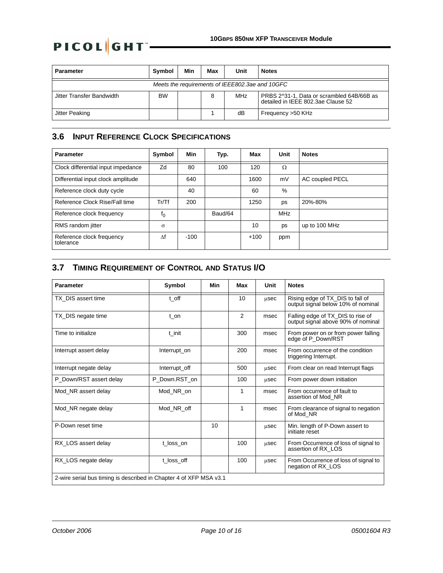| <b>Parameter</b>                                | <b>Symbol</b> | Min | Max | Unit | <b>Notes</b>                                                                    |  |  |
|-------------------------------------------------|---------------|-----|-----|------|---------------------------------------------------------------------------------|--|--|
| Meets the requirements of IEEE802.3ae and 10GFC |               |     |     |      |                                                                                 |  |  |
| Jitter Transfer Bandwidth                       | <b>BW</b>     |     | 8   | MHz  | PRBS 2^31-1, Data or scrambled 64B/66B as<br>detailed in IFFF 802.3ae Clause 52 |  |  |
| Jitter Peaking                                  |               |     |     | dB   | Frequency >50 KHz                                                               |  |  |

### <span id="page-9-0"></span>**3.6 INPUT REFERENCE CLOCK SPECIFICATIONS**

| <b>Parameter</b>                       | Symbol   | Min    | Typ.    | Max    | Unit          | <b>Notes</b>    |
|----------------------------------------|----------|--------|---------|--------|---------------|-----------------|
| Clock differential input impedance     | Zd       | 80     | 100     | 120    | Ω             |                 |
| Differential input clock amplitude     |          | 640    |         | 1600   | mV            | AC coupled PECL |
| Reference clock duty cycle             |          | 40     |         | 60     | $\frac{0}{0}$ |                 |
| Reference Clock Rise/Fall time         | Tr/Tf    | 200    |         | 1250   | ps            | 20%-80%         |
| Reference clock frequency              | $f_0$    |        | Baud/64 |        | <b>MHz</b>    |                 |
| RMS random jitter                      | $\sigma$ |        |         | 10     | ps            | up to 100 MHz   |
| Reference clock frequency<br>tolerance | Λf       | $-100$ |         | $+100$ | ppm           |                 |

# <span id="page-9-1"></span>**3.7 TIMING REQUIREMENT OF CONTROL AND STATUS I/O**

| <b>Parameter</b>                                                   | Symbol        | Min | Max | Unit | <b>Notes</b>                                                            |
|--------------------------------------------------------------------|---------------|-----|-----|------|-------------------------------------------------------------------------|
| TX DIS assert time                                                 | t off         |     | 10  | usec | Rising edge of TX_DIS to fall of<br>output signal below 10% of nominal  |
| TX_DIS negate time                                                 | t on          |     | 2   | msec | Falling edge of TX_DIS to rise of<br>output signal above 90% of nominal |
| Time to initialize                                                 | t init        |     | 300 | msec | From power on or from power falling<br>edge of P_Down/RST               |
| Interrupt assert delay                                             | Interrupt_on  |     | 200 | msec | From occurrence of the condition<br>triggering Interrupt.               |
| Interrupt negate delay                                             | Interrupt_off |     | 500 | usec | From clear on read Interrupt flags                                      |
| P Down/RST assert delay                                            | P Down.RST on |     | 100 | usec | From power down initiation                                              |
| Mod NR assert delay                                                | Mod NR on     |     | 1   | msec | From occurrence of fault to<br>assertion of Mod NR                      |
| Mod_NR negate delay                                                | Mod_NR_off    |     | 1   | msec | From clearance of signal to negation<br>of Mod NR                       |
| P-Down reset time                                                  |               | 10  |     | usec | Min. length of P-Down assert to<br>initiate reset                       |
| RX LOS assert delay                                                | t loss on     |     | 100 | usec | From Occurrence of loss of signal to<br>assertion of RX LOS             |
| RX_LOS negate delay                                                | t loss off    |     | 100 | usec | From Occurrence of loss of signal to<br>negation of RX_LOS              |
| 2-wire serial bus timing is described in Chapter 4 of XFP MSA v3.1 |               |     |     |      |                                                                         |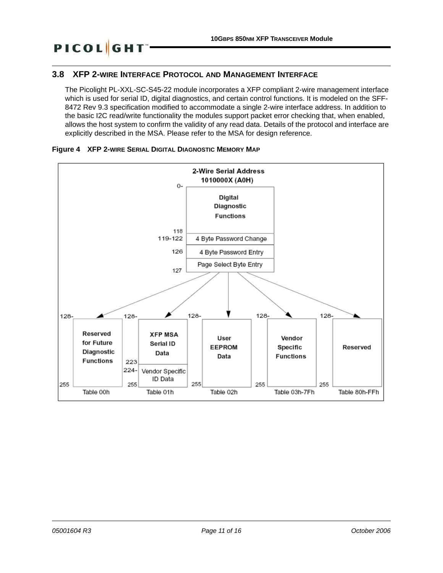### <span id="page-10-0"></span>**3.8 XFP 2-WIRE INTERFACE PROTOCOL AND MANAGEMENT INTERFACE**

The Picolight PL-XXL-SC-S45-22 module incorporates a XFP compliant 2-wire management interface which is used for serial ID, digital diagnostics, and certain control functions. It is modeled on the SFF-8472 Rev 9.3 specification modified to accommodate a single 2-wire interface address. In addition to the basic I2C read/write functionality the modules support packet error checking that, when enabled, allows the host system to confirm the validity of any read data. Details of the protocol and interface are explicitly described in the MSA. Please refer to the MSA for design reference.



#### **Figure 4 XFP 2-WIRE SERIAL DIGITAL DIAGNOSTIC MEMORY MAP**

**PICOL**GHT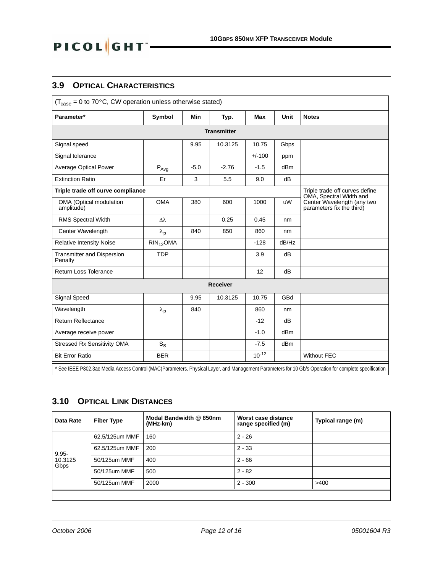### <span id="page-11-0"></span>**3.9 OPTICAL CHARACTERISTICS**

PICOL GHT

| $(T_{\text{case}} = 0 \text{ to } 70^{\circ}\text{C}, \text{CW operation unless otherwise stated})$ |                       |            |                 |            |       |                                                                                                                                                      |  |  |  |
|-----------------------------------------------------------------------------------------------------|-----------------------|------------|-----------------|------------|-------|------------------------------------------------------------------------------------------------------------------------------------------------------|--|--|--|
| Parameter*                                                                                          | Symbol                | <b>Min</b> | Typ.            | Max        | Unit  | <b>Notes</b>                                                                                                                                         |  |  |  |
|                                                                                                     | <b>Transmitter</b>    |            |                 |            |       |                                                                                                                                                      |  |  |  |
| Signal speed                                                                                        |                       | 9.95       | 10.3125         | 10.75      | Gbps  |                                                                                                                                                      |  |  |  |
| Signal tolerance                                                                                    |                       |            |                 | $+/-100$   | ppm   |                                                                                                                                                      |  |  |  |
| <b>Average Optical Power</b>                                                                        | $P_{Avg}$             | $-5.0$     | $-2.76$         | $-1.5$     | dBm   |                                                                                                                                                      |  |  |  |
| <b>Extinction Ratio</b>                                                                             | Er                    | 3          | 5.5             | 9.0        | dB    |                                                                                                                                                      |  |  |  |
| Triple trade off curve compliance                                                                   |                       |            |                 |            |       | Triple trade off curves define<br>OMA, Spectral Width and                                                                                            |  |  |  |
| OMA (Optical modulation<br>amplitude)                                                               | <b>OMA</b>            | 380        | 600             | 1000       | uW    | Center Wavelength (any two<br>parameters fix the third)                                                                                              |  |  |  |
| <b>RMS Spectral Width</b>                                                                           | $\Delta\lambda$       |            | 0.25            | 0.45       | nm    |                                                                                                                                                      |  |  |  |
| Center Wavelength                                                                                   | $\lambda_{\sf p}$     | 840        | 850             | 860        | nm    |                                                                                                                                                      |  |  |  |
| <b>Relative Intensity Noise</b>                                                                     | RIN <sub>12</sub> OMA |            |                 | $-128$     | dB/Hz |                                                                                                                                                      |  |  |  |
| <b>Transmitter and Dispersion</b><br>Penalty                                                        | <b>TDP</b>            |            |                 | 3.9        | dB    |                                                                                                                                                      |  |  |  |
| Return Loss Tolerance                                                                               |                       |            |                 | 12         | dB    |                                                                                                                                                      |  |  |  |
|                                                                                                     |                       |            | <b>Receiver</b> |            |       |                                                                                                                                                      |  |  |  |
| Signal Speed                                                                                        |                       | 9.95       | 10.3125         | 10.75      | GBd   |                                                                                                                                                      |  |  |  |
| Wavelength                                                                                          | $\lambda_{\sf p}$     | 840        |                 | 860        | nm    |                                                                                                                                                      |  |  |  |
| <b>Return Reflectance</b>                                                                           |                       |            |                 | $-12$      | dB    |                                                                                                                                                      |  |  |  |
| Average receive power                                                                               |                       |            |                 | $-1.0$     | dBm   |                                                                                                                                                      |  |  |  |
| Stressed Rx Sensitivity OMA                                                                         | $S_S$                 |            |                 | $-7.5$     | dBm   |                                                                                                                                                      |  |  |  |
| <b>Bit Error Ratio</b>                                                                              | <b>BER</b>            |            |                 | $10^{-12}$ |       | <b>Without FEC</b>                                                                                                                                   |  |  |  |
|                                                                                                     |                       |            |                 |            |       | * See IEEE P802.3ae Media Access Control (MAC)Parameters, Physical Layer, and Management Parameters for 10 Gb/s Operation for complete specification |  |  |  |

# <span id="page-11-1"></span>**3.10 OPTICAL LINK DISTANCES**

| Data Rate       | <b>Fiber Type</b> | Modal Bandwidth @ 850nm<br>(MHz-km) | Worst case distance<br>range specified (m) | Typical range (m) |
|-----------------|-------------------|-------------------------------------|--------------------------------------------|-------------------|
|                 | 62.5/125um MMF    | 160                                 | $2 - 26$                                   |                   |
| $9.95 -$        | 62.5/125um MMF    | 200                                 | $2 - 33$                                   |                   |
| 10.3125<br>Gbps | 50/125um MMF      | 400                                 | $2 - 66$                                   |                   |
|                 | 50/125um MMF      | 500                                 | $2 - 82$                                   |                   |
|                 | 50/125um MMF      | 2000                                | $2 - 300$                                  | >400              |
|                 |                   |                                     |                                            |                   |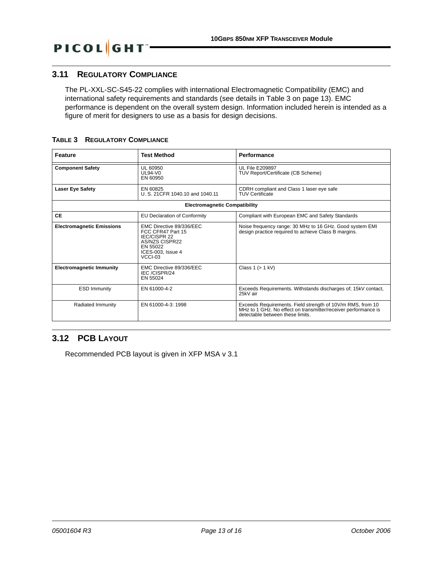# <span id="page-12-0"></span>**3.11 REGULATORY COMPLIANCE**

PICOL GHT

The PL-XXL-SC-S45-22 complies with international Electromagnetic Compatibility (EMC) and international safety requirements and standards (see details in [Table 3 on page 13](#page-12-2)). EMC performance is dependent on the overall system design. Information included herein is intended as a figure of merit for designers to use as a basis for design decisions.

<span id="page-12-2"></span>

|  | <b>TABLE 3 REGULATORY COMPLIANCE</b> |  |
|--|--------------------------------------|--|
|--|--------------------------------------|--|

| <b>Feature</b>                       | <b>Test Method</b>                                                                                                                 | <b>Performance</b>                                                                                                                                               |
|--------------------------------------|------------------------------------------------------------------------------------------------------------------------------------|------------------------------------------------------------------------------------------------------------------------------------------------------------------|
| <b>Component Safety</b>              | UL 60950<br>$11.94 - 10$<br>EN 60950                                                                                               | <b>UL File E209897</b><br>TUV Report/Certificate (CB Scheme)                                                                                                     |
| <b>Laser Eye Safety</b>              | EN 60825<br>U. S. 21 CFR 1040.10 and 1040.11                                                                                       | CDRH compliant and Class 1 laser eye safe<br><b>TUV Certificate</b>                                                                                              |
| <b>Electromagnetic Compatibility</b> |                                                                                                                                    |                                                                                                                                                                  |
| <b>CE</b>                            | <b>EU Declaration of Conformity</b>                                                                                                | Compliant with European EMC and Safety Standards                                                                                                                 |
| <b>Electromagnetic Emissions</b>     | EMC Directive 89/336/EEC<br>FCC CFR47 Part 15<br><b>IEC/CISPR 22</b><br>AS/NZS CISPR22<br>EN 55022<br>ICES-003. Issue 4<br>VCCI-03 | Noise frequency range: 30 MHz to 16 GHz. Good system EMI design practice required to achieve Class B margins.                                                    |
| <b>Electromagnetic Immunity</b>      | EMC Directive 89/336/EEC<br>IEC/CISPR/24<br>EN 55024                                                                               | Class $1 (> 1$ kV)                                                                                                                                               |
| <b>ESD Immunity</b>                  | EN 61000-4-2                                                                                                                       | Exceeds Requirements. Withstands discharges of; 15kV contact,<br>25kV air                                                                                        |
| Radiated Immunity                    | EN 61000-4-3: 1998                                                                                                                 | Exceeds Requirements. Field strength of 10V/m RMS, from 10<br>MHz to 1 GHz. No effect on transmitter/receiver performance is<br>detectable between these limits. |

### <span id="page-12-1"></span>**3.12 PCB LAYOUT**

Recommended PCB layout is given in XFP MSA v 3.1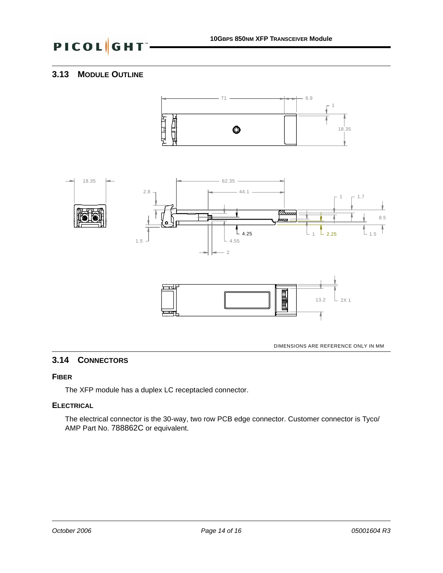### <span id="page-13-1"></span>**3.13 MODULE OUTLINE**





DIMENSIONS ARE REFERENCE ONLY IN MM

### <span id="page-13-0"></span>**3.14 CONNECTORS**

#### **FIBER**

The XFP module has a duplex LC receptacled connector.

#### **ELECTRICAL**

The electrical connector is the 30-way, two row PCB edge connector. Customer connector is Tyco/ AMP Part No. 788862C or equivalent.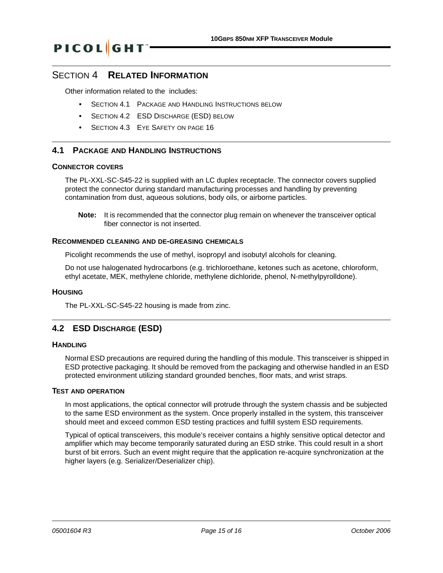#### SECTION 4 **RELATED INFORMATION**

Other information related to the includes:

- **•** SECTION 4.1 PACKAGE [AND HANDLING INSTRUCTIONS](#page-14-0) BELOW
- **•** [SECTION 4.2 ESD DISCHARGE \(ESD\) BELOW](#page-14-1)
- **•** [SECTION 4.3 EYE SAFETY](#page-15-0) ON PAGE 16

#### <span id="page-14-0"></span>**4.1 PACKAGE AND HANDLING INSTRUCTIONS**

#### **CONNECTOR COVERS**

The PL-XXL-SC-S45-22 is supplied with an LC duplex receptacle. The connector covers supplied protect the connector during standard manufacturing processes and handling by preventing contamination from dust, aqueous solutions, body oils, or airborne particles.

**Note:** It is recommended that the connector plug remain on whenever the transceiver optical fiber connector is not inserted.

#### **RECOMMENDED CLEANING AND DE-GREASING CHEMICALS**

Picolight recommends the use of methyl, isopropyl and isobutyl alcohols for cleaning.

Do not use halogenated hydrocarbons (e.g. trichloroethane, ketones such as acetone, chloroform, ethyl acetate, MEK, methylene chloride, methylene dichloride, phenol, N-methylpyrolldone).

#### **HOUSING**

The PL-XXL-SC-S45-22 housing is made from zinc.

#### <span id="page-14-1"></span>**4.2 ESD DISCHARGE (ESD)**

#### **HANDLING**

Normal ESD precautions are required during the handling of this module. This transceiver is shipped in ESD protective packaging. It should be removed from the packaging and otherwise handled in an ESD protected environment utilizing standard grounded benches, floor mats, and wrist straps.

#### **TEST AND OPERATION**

In most applications, the optical connector will protrude through the system chassis and be subjected to the same ESD environment as the system. Once properly installed in the system, this transceiver should meet and exceed common ESD testing practices and fulfill system ESD requirements.

Typical of optical transceivers, this module's receiver contains a highly sensitive optical detector and amplifier which may become temporarily saturated during an ESD strike. This could result in a short burst of bit errors. Such an event might require that the application re-acquire synchronization at the higher layers (e.g. Serializer/Deserializer chip).